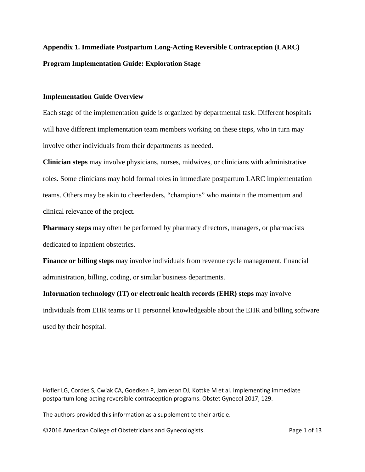# **Appendix 1. Immediate Postpartum Long-Acting Reversible Contraception (LARC) Program Implementation Guide: Exploration Stage**

## **Implementation Guide Overview**

Each stage of the implementation guide is organized by departmental task. Different hospitals will have different implementation team members working on these steps, who in turn may involve other individuals from their departments as needed.

**Clinician steps** may involve physicians, nurses, midwives, or clinicians with administrative roles. Some clinicians may hold formal roles in immediate postpartum LARC implementation teams. Others may be akin to cheerleaders, "champions" who maintain the momentum and clinical relevance of the project.

**Pharmacy steps** may often be performed by pharmacy directors, managers, or pharmacists dedicated to inpatient obstetrics.

**Finance or billing steps** may involve individuals from revenue cycle management, financial administration, billing, coding, or similar business departments.

**Information technology (IT) or electronic health records (EHR) steps** may involve individuals from EHR teams or IT personnel knowledgeable about the EHR and billing software used by their hospital.

Hofler LG, Cordes S, Cwiak CA, Goedken P, Jamieson DJ, Kottke M et al. Implementing immediate postpartum long-acting reversible contraception programs. Obstet Gynecol 2017; 129.

The authors provided this information as a supplement to their article.

©2016 American College of Obstetricians and Gynecologists. The Page 1 of 13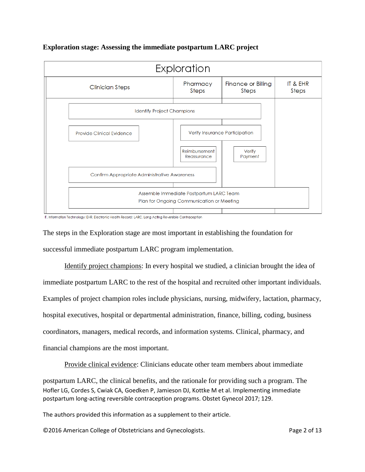

## **Exploration stage: Assessing the immediate postpartum LARC project**

IT, Information Technology; EHR, Electronic Health Record; LARC, Long Acting Reversible Contraception

The steps in the Exploration stage are most important in establishing the foundation for successful immediate postpartum LARC program implementation.

Identify project champions: In every hospital we studied, a clinician brought the idea of immediate postpartum LARC to the rest of the hospital and recruited other important individuals. Examples of project champion roles include physicians, nursing, midwifery, lactation, pharmacy, hospital executives, hospital or departmental administration, finance, billing, coding, business coordinators, managers, medical records, and information systems. Clinical, pharmacy, and financial champions are the most important.

Provide clinical evidence: Clinicians educate other team members about immediate

Hofler LG, Cordes S, Cwiak CA, Goedken P, Jamieson DJ, Kottke M et al. Implementing immediate postpartum long-acting reversible contraception programs. Obstet Gynecol 2017; 129. postpartum LARC, the clinical benefits, and the rationale for providing such a program. The

The authors provided this information as a supplement to their article.

©2016 American College of Obstetricians and Gynecologists. Page 2 of 13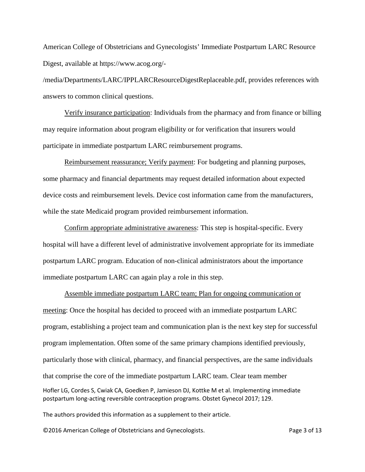American College of Obstetricians and Gynecologists' Immediate Postpartum LARC Resource Digest, available at https://www.acog.org/-

/media/Departments/LARC/IPPLARCResourceDigestReplaceable.pdf, provides references with answers to common clinical questions.

Verify insurance participation: Individuals from the pharmacy and from finance or billing may require information about program eligibility or for verification that insurers would participate in immediate postpartum LARC reimbursement programs.

Reimbursement reassurance; Verify payment: For budgeting and planning purposes, some pharmacy and financial departments may request detailed information about expected device costs and reimbursement levels. Device cost information came from the manufacturers, while the state Medicaid program provided reimbursement information.

Confirm appropriate administrative awareness: This step is hospital-specific. Every hospital will have a different level of administrative involvement appropriate for its immediate postpartum LARC program. Education of non-clinical administrators about the importance immediate postpartum LARC can again play a role in this step.

Hofler LG, Cordes S, Cwiak CA, Goedken P, Jamieson DJ, Kottke M et al. Implementing immediate postpartum long-acting reversible contraception programs. Obstet Gynecol 2017; 129. Assemble immediate postpartum LARC team; Plan for ongoing communication or meeting: Once the hospital has decided to proceed with an immediate postpartum LARC program, establishing a project team and communication plan is the next key step for successful program implementation. Often some of the same primary champions identified previously, particularly those with clinical, pharmacy, and financial perspectives, are the same individuals that comprise the core of the immediate postpartum LARC team. Clear team member

The authors provided this information as a supplement to their article.

©2016 American College of Obstetricians and Gynecologists. Page 3 of 13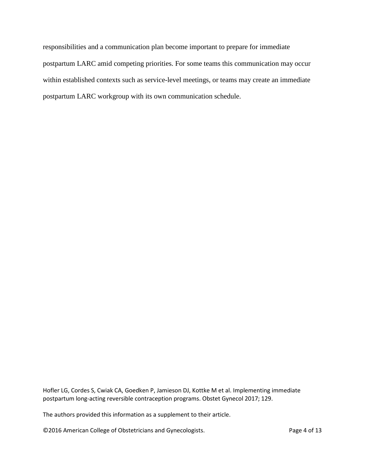responsibilities and a communication plan become important to prepare for immediate postpartum LARC amid competing priorities. For some teams this communication may occur within established contexts such as service-level meetings, or teams may create an immediate postpartum LARC workgroup with its own communication schedule.

Hofler LG, Cordes S, Cwiak CA, Goedken P, Jamieson DJ, Kottke M et al. Implementing immediate postpartum long-acting reversible contraception programs. Obstet Gynecol 2017; 129.

The authors provided this information as a supplement to their article.

©2016 American College of Obstetricians and Gynecologists. Page 4 of 13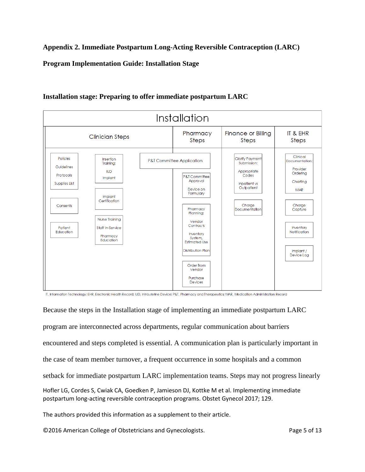**Appendix 2. Immediate Postpartum Long-Acting Reversible Contraception (LARC)** 

**Program Implementation Guide: Installation Stage**



# **Installation stage: Preparing to offer immediate postpartum LARC**

IT, Information Technology; EHR, Electronic Health Record; IUD, Intrauterine Device; P&T, Pharmacy and Therapeutics; MAR, Medication Administration Record

Hofler LG, Cordes S, Cwiak CA, Goedken P, Jamieson DJ, Kottke M et al. Implementing immediate postpartum long-acting reversible contraception programs. Obstet Gynecol 2017; 129. Because the steps in the Installation stage of implementing an immediate postpartum LARC program are interconnected across departments, regular communication about barriers encountered and steps completed is essential. A communication plan is particularly important in the case of team member turnover, a frequent occurrence in some hospitals and a common setback for immediate postpartum LARC implementation teams. Steps may not progress linearly

The authors provided this information as a supplement to their article.

©2016 American College of Obstetricians and Gynecologists. Page 5 of 13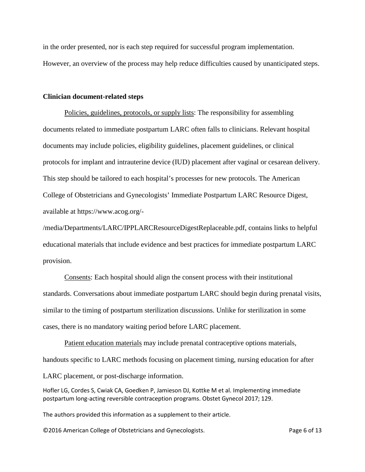in the order presented, nor is each step required for successful program implementation. However, an overview of the process may help reduce difficulties caused by unanticipated steps.

#### **Clinician document-related steps**

Policies, guidelines, protocols, or supply lists: The responsibility for assembling documents related to immediate postpartum LARC often falls to clinicians. Relevant hospital documents may include policies, eligibility guidelines, placement guidelines, or clinical protocols for implant and intrauterine device (IUD) placement after vaginal or cesarean delivery. This step should be tailored to each hospital's processes for new protocols. The American College of Obstetricians and Gynecologists' Immediate Postpartum LARC Resource Digest, available at https://www.acog.org/-

/media/Departments/LARC/IPPLARCResourceDigestReplaceable.pdf, contains links to helpful educational materials that include evidence and best practices for immediate postpartum LARC provision.

Consents: Each hospital should align the consent process with their institutional standards. Conversations about immediate postpartum LARC should begin during prenatal visits, similar to the timing of postpartum sterilization discussions. Unlike for sterilization in some cases, there is no mandatory waiting period before LARC placement.

Patient education materials may include prenatal contraceptive options materials, handouts specific to LARC methods focusing on placement timing, nursing education for after LARC placement, or post-discharge information.

Hofler LG, Cordes S, Cwiak CA, Goedken P, Jamieson DJ, Kottke M et al. Implementing immediate postpartum long-acting reversible contraception programs. Obstet Gynecol 2017; 129.

The authors provided this information as a supplement to their article.

©2016 American College of Obstetricians and Gynecologists. The example of 13 Page 6 of 13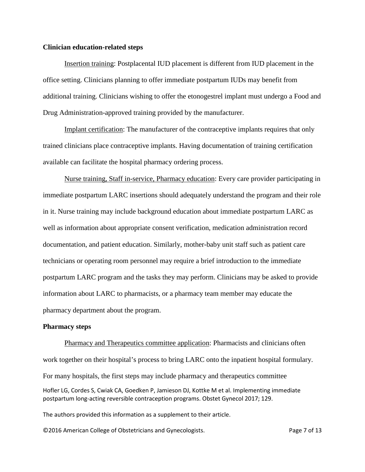## **Clinician education-related steps**

Insertion training: Postplacental IUD placement is different from IUD placement in the office setting. Clinicians planning to offer immediate postpartum IUDs may benefit from additional training. Clinicians wishing to offer the etonogestrel implant must undergo a Food and Drug Administration-approved training provided by the manufacturer.

Implant certification: The manufacturer of the contraceptive implants requires that only trained clinicians place contraceptive implants. Having documentation of training certification available can facilitate the hospital pharmacy ordering process.

Nurse training, Staff in-service, Pharmacy education: Every care provider participating in immediate postpartum LARC insertions should adequately understand the program and their role in it. Nurse training may include background education about immediate postpartum LARC as well as information about appropriate consent verification, medication administration record documentation, and patient education. Similarly, mother-baby unit staff such as patient care technicians or operating room personnel may require a brief introduction to the immediate postpartum LARC program and the tasks they may perform. Clinicians may be asked to provide information about LARC to pharmacists, or a pharmacy team member may educate the pharmacy department about the program.

#### **Pharmacy steps**

Hofler LG, Cordes S, Cwiak CA, Goedken P, Jamieson DJ, Kottke M et al. Implementing immediate postpartum long-acting reversible contraception programs. Obstet Gynecol 2017; 129. Pharmacy and Therapeutics committee application: Pharmacists and clinicians often work together on their hospital's process to bring LARC onto the inpatient hospital formulary. For many hospitals, the first steps may include pharmacy and therapeutics committee

The authors provided this information as a supplement to their article.

©2016 American College of Obstetricians and Gynecologists. Page 7 of 13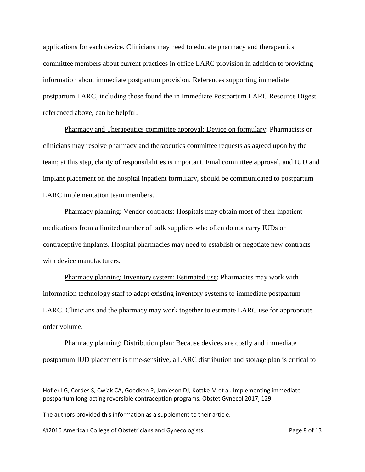applications for each device. Clinicians may need to educate pharmacy and therapeutics committee members about current practices in office LARC provision in addition to providing information about immediate postpartum provision. References supporting immediate postpartum LARC, including those found the in Immediate Postpartum LARC Resource Digest referenced above, can be helpful.

Pharmacy and Therapeutics committee approval; Device on formulary: Pharmacists or clinicians may resolve pharmacy and therapeutics committee requests as agreed upon by the team; at this step, clarity of responsibilities is important. Final committee approval, and IUD and implant placement on the hospital inpatient formulary, should be communicated to postpartum LARC implementation team members.

Pharmacy planning: Vendor contracts: Hospitals may obtain most of their inpatient medications from a limited number of bulk suppliers who often do not carry IUDs or contraceptive implants. Hospital pharmacies may need to establish or negotiate new contracts with device manufacturers.

Pharmacy planning: Inventory system; Estimated use: Pharmacies may work with information technology staff to adapt existing inventory systems to immediate postpartum LARC. Clinicians and the pharmacy may work together to estimate LARC use for appropriate order volume.

Pharmacy planning: Distribution plan: Because devices are costly and immediate postpartum IUD placement is time-sensitive, a LARC distribution and storage plan is critical to

The authors provided this information as a supplement to their article.

©2016 American College of Obstetricians and Gynecologists. Page 8 of 13

Hofler LG, Cordes S, Cwiak CA, Goedken P, Jamieson DJ, Kottke M et al. Implementing immediate postpartum long-acting reversible contraception programs. Obstet Gynecol 2017; 129.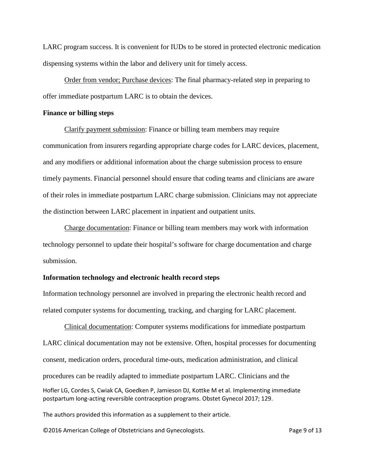LARC program success. It is convenient for IUDs to be stored in protected electronic medication dispensing systems within the labor and delivery unit for timely access.

Order from vendor; Purchase devices: The final pharmacy-related step in preparing to offer immediate postpartum LARC is to obtain the devices.

#### **Finance or billing steps**

Clarify payment submission: Finance or billing team members may require communication from insurers regarding appropriate charge codes for LARC devices, placement, and any modifiers or additional information about the charge submission process to ensure timely payments. Financial personnel should ensure that coding teams and clinicians are aware of their roles in immediate postpartum LARC charge submission. Clinicians may not appreciate the distinction between LARC placement in inpatient and outpatient units.

Charge documentation: Finance or billing team members may work with information technology personnel to update their hospital's software for charge documentation and charge submission.

### **Information technology and electronic health record steps**

Information technology personnel are involved in preparing the electronic health record and related computer systems for documenting, tracking, and charging for LARC placement.

Hofler LG, Cordes S, Cwiak CA, Goedken P, Jamieson DJ, Kottke M et al. Implementing immediate postpartum long-acting reversible contraception programs. Obstet Gynecol 2017; 129. Clinical documentation: Computer systems modifications for immediate postpartum LARC clinical documentation may not be extensive. Often, hospital processes for documenting consent, medication orders, procedural time-outs, medication administration, and clinical procedures can be readily adapted to immediate postpartum LARC. Clinicians and the

The authors provided this information as a supplement to their article.

©2016 American College of Obstetricians and Gynecologists. Page 9 of 13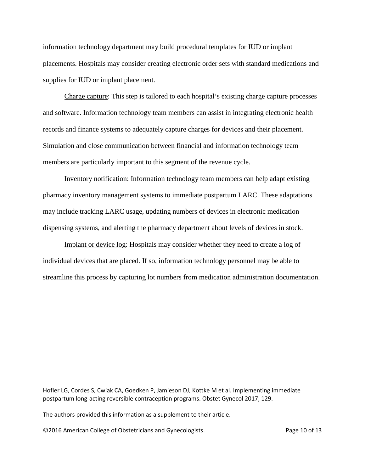information technology department may build procedural templates for IUD or implant placements. Hospitals may consider creating electronic order sets with standard medications and supplies for IUD or implant placement.

Charge capture: This step is tailored to each hospital's existing charge capture processes and software. Information technology team members can assist in integrating electronic health records and finance systems to adequately capture charges for devices and their placement. Simulation and close communication between financial and information technology team members are particularly important to this segment of the revenue cycle.

Inventory notification: Information technology team members can help adapt existing pharmacy inventory management systems to immediate postpartum LARC. These adaptations may include tracking LARC usage, updating numbers of devices in electronic medication dispensing systems, and alerting the pharmacy department about levels of devices in stock.

Implant or device log: Hospitals may consider whether they need to create a log of individual devices that are placed. If so, information technology personnel may be able to streamline this process by capturing lot numbers from medication administration documentation.

Hofler LG, Cordes S, Cwiak CA, Goedken P, Jamieson DJ, Kottke M et al. Implementing immediate postpartum long-acting reversible contraception programs. Obstet Gynecol 2017; 129.

The authors provided this information as a supplement to their article.

©2016 American College of Obstetricians and Gynecologists. Page 10 of 13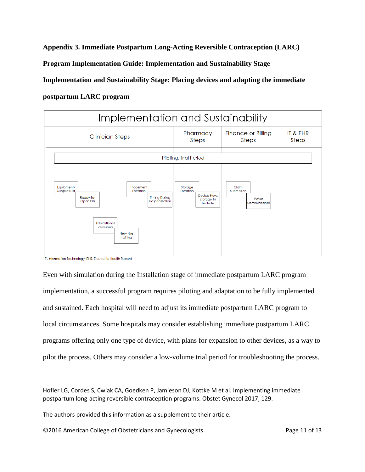**Appendix 3. Immediate Postpartum Long-Acting Reversible Contraception (LARC)** 

**Program Implementation Guide: Implementation and Sustainability Stage**

**Implementation and Sustainability Stage: Placing devices and adapting the immediate** 

**postpartum LARC program**



Even with simulation during the Installation stage of immediate postpartum LARC program implementation, a successful program requires piloting and adaptation to be fully implemented and sustained. Each hospital will need to adjust its immediate postpartum LARC program to local circumstances. Some hospitals may consider establishing immediate postpartum LARC programs offering only one type of device, with plans for expansion to other devices, as a way to pilot the process. Others may consider a low-volume trial period for troubleshooting the process.

Hofler LG, Cordes S, Cwiak CA, Goedken P, Jamieson DJ, Kottke M et al. Implementing immediate postpartum long-acting reversible contraception programs. Obstet Gynecol 2017; 129.

The authors provided this information as a supplement to their article.

©2016 American College of Obstetricians and Gynecologists. Page 11 of 13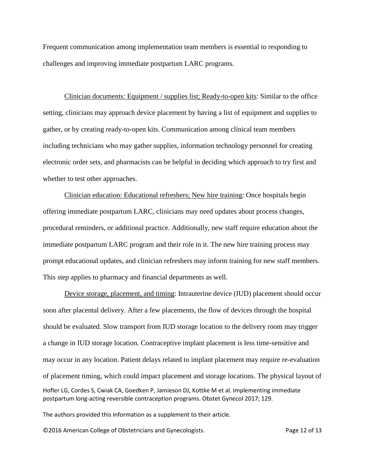Frequent communication among implementation team members is essential to responding to challenges and improving immediate postpartum LARC programs.

Clinician documents: Equipment / supplies list; Ready-to-open kits: Similar to the office setting, clinicians may approach device placement by having a list of equipment and supplies to gather, or by creating ready-to-open kits. Communication among clinical team members including technicians who may gather supplies, information technology personnel for creating electronic order sets, and pharmacists can be helpful in deciding which approach to try first and whether to test other approaches.

Clinician education: Educational refreshers; New hire training: Once hospitals begin offering immediate postpartum LARC, clinicians may need updates about process changes, procedural reminders, or additional practice. Additionally, new staff require education about the immediate postpartum LARC program and their role in it. The new hire training process may prompt educational updates, and clinician refreshers may inform training for new staff members. This step applies to pharmacy and financial departments as well.

Hofler LG, Cordes S, Cwiak CA, Goedken P, Jamieson DJ, Kottke M et al. Implementing immediate postpartum long-acting reversible contraception programs. Obstet Gynecol 2017; 129. Device storage, placement, and timing: Intrauterine device (IUD) placement should occur soon after placental delivery. After a few placements, the flow of devices through the hospital should be evaluated. Slow transport from IUD storage location to the delivery room may trigger a change in IUD storage location. Contraceptive implant placement is less time-sensitive and may occur in any location. Patient delays related to implant placement may require re-evaluation of placement timing, which could impact placement and storage locations. The physical layout of

The authors provided this information as a supplement to their article.

©2016 American College of Obstetricians and Gynecologists. Page 12 of 13